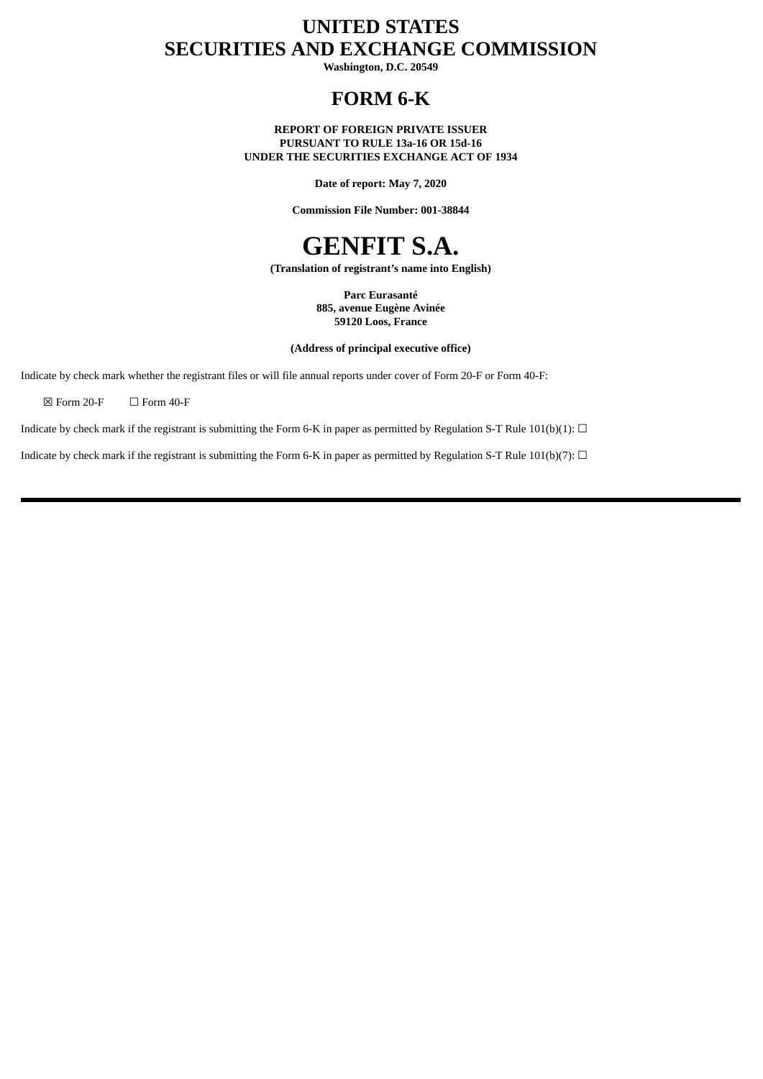# **UNITED STATES SECURITIES AND EXCHANGE COMMISSION**

**Washington, D.C. 20549**

## **FORM 6-K**

**REPORT OF FOREIGN PRIVATE ISSUER PURSUANT TO RULE 13a-16 OR 15d-16 UNDER THE SECURITIES EXCHANGE ACT OF 1934**

**Date of report: May 7, 2020**

**Commission File Number: 001-38844**



**(Translation of registrant's name into English)**

**Parc Eurasanté 885, avenue Eugène Avinée 59120 Loos, France**

**(Address of principal executive office)**

Indicate by check mark whether the registrant files or will file annual reports under cover of Form 20-F or Form 40-F:

 $\boxtimes$  Form 20-F  $\Box$  Form 40-F

Indicate by check mark if the registrant is submitting the Form 6-K in paper as permitted by Regulation S-T Rule 101(b)(1):  $\Box$ 

Indicate by check mark if the registrant is submitting the Form 6-K in paper as permitted by Regulation S-T Rule 101(b)(7):  $\Box$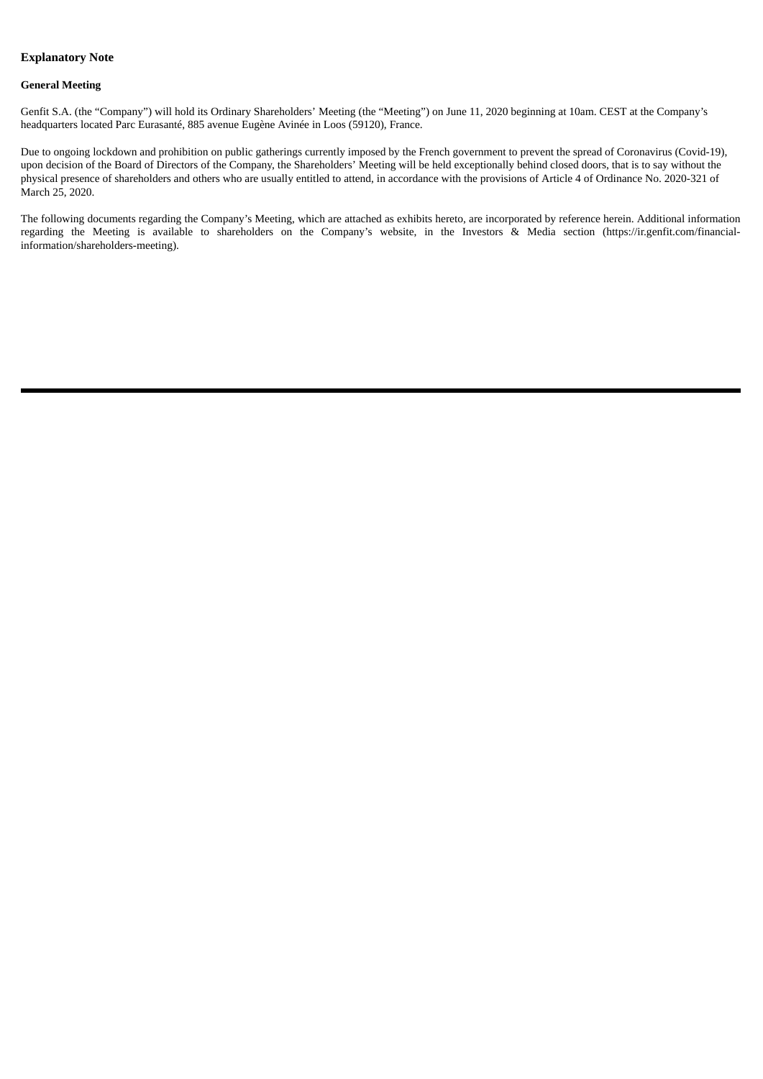#### **Explanatory Note**

#### **General Meeting**

Genfit S.A. (the "Company") will hold its Ordinary Shareholders' Meeting (the "Meeting") on June 11, 2020 beginning at 10am. CEST at the Company's headquarters located Parc Eurasanté, 885 avenue Eugène Avinée in Loos (59120), France.

Due to ongoing lockdown and prohibition on public gatherings currently imposed by the French government to prevent the spread of Coronavirus (Covid-19), upon decision of the Board of Directors of the Company, the Shareholders' Meeting will be held exceptionally behind closed doors, that is to say without the physical presence of shareholders and others who are usually entitled to attend, in accordance with the provisions of Article 4 of Ordinance No. 2020-321 of March 25, 2020.

The following documents regarding the Company's Meeting, which are attached as exhibits hereto, are incorporated by reference herein. Additional information regarding the Meeting is available to shareholders on the Company's website, in the Investors & Media section (https://ir.genfit.com/financialinformation/shareholders-meeting).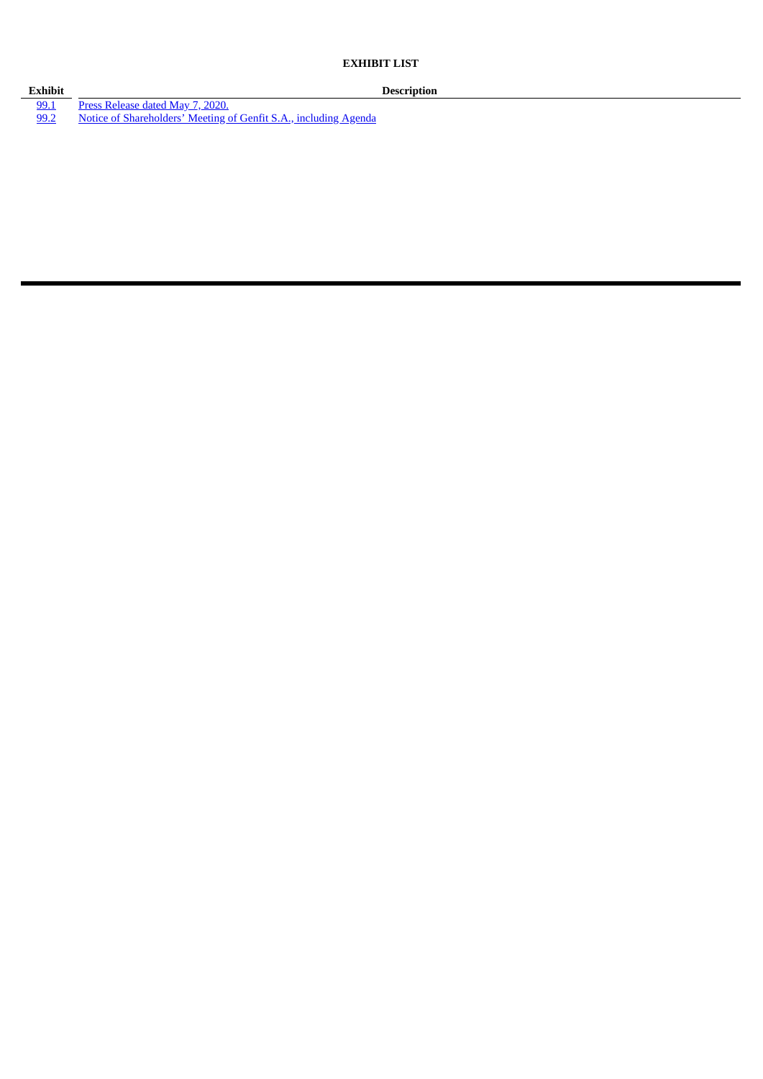**EXHIBIT LIST**

**Exhibit Description** [99.1](#page-4-0) Press [Release](#page-4-0) dated May 7, 2020. [99.2](#page-6-0) Notice of [Shareholders'](#page-6-0) Meeting of Genfit S.A., including Agenda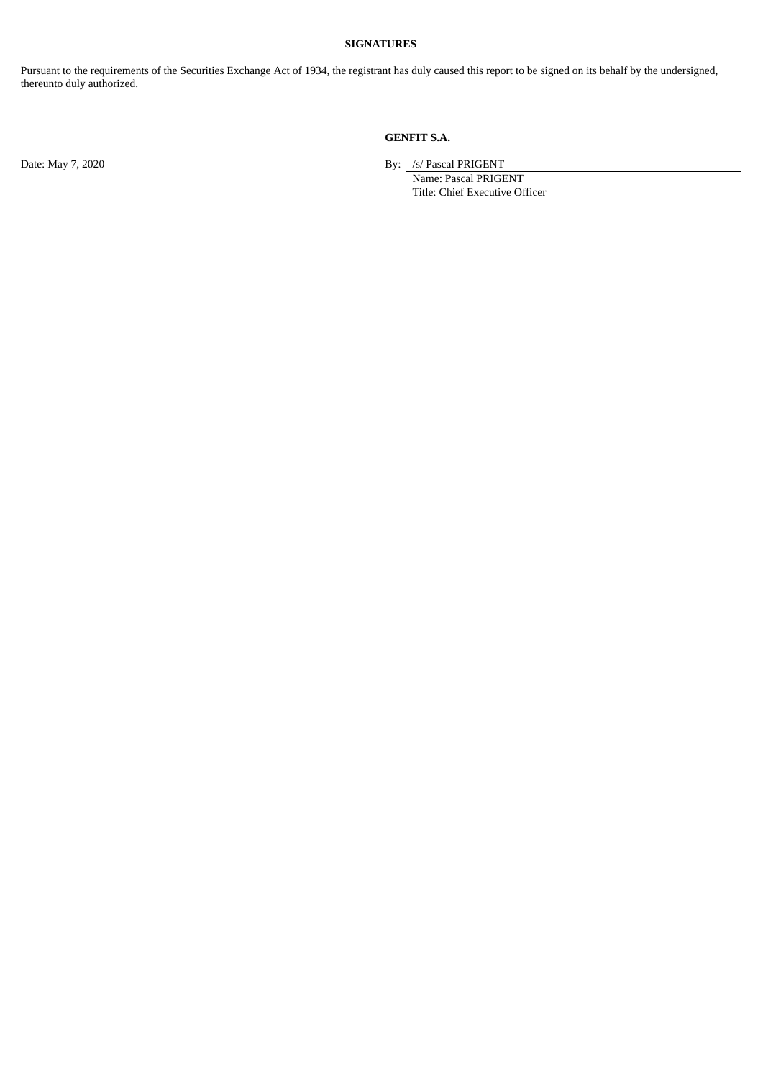#### **SIGNATURES**

Pursuant to the requirements of the Securities Exchange Act of 1934, the registrant has duly caused this report to be signed on its behalf by the undersigned, thereunto duly authorized.

### **GENFIT S.A.**

Date: May 7, 2020 By: /s/ Pascal PRIGENT

Name: Pascal PRIGENT Title: Chief Executive Officer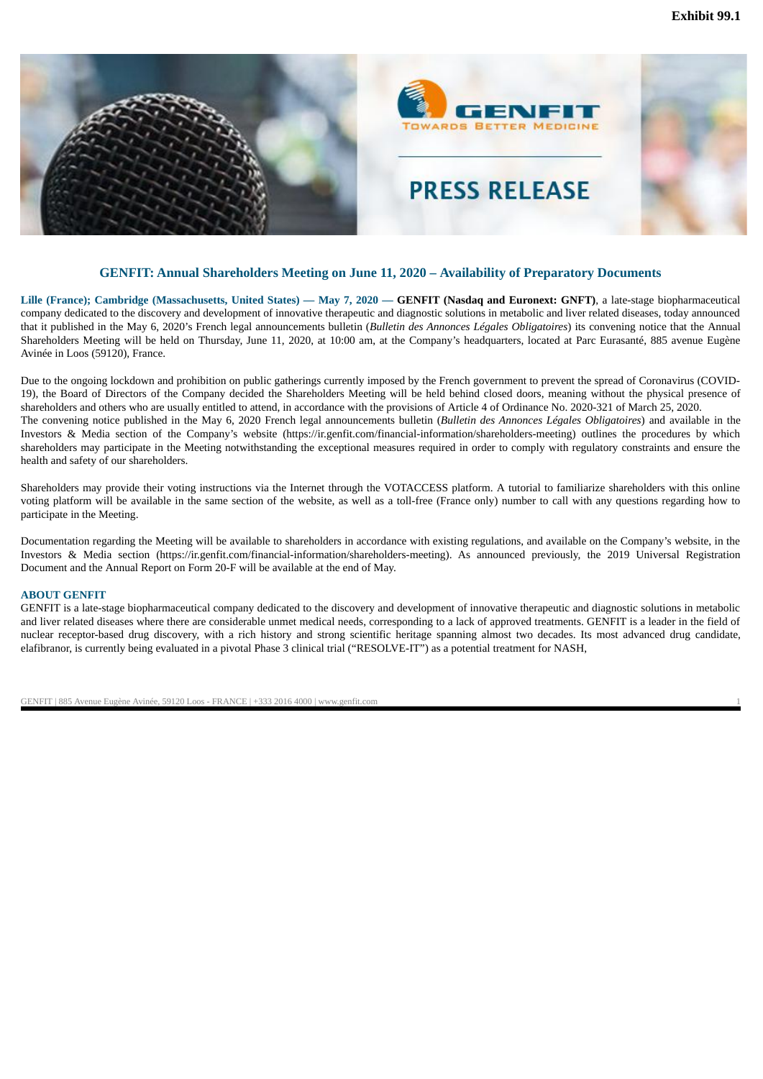<span id="page-4-0"></span>

#### **GENFIT: Annual Shareholders Meeting on June 11, 2020 – Availability of Preparatory Documents**

Lille (France); Cambridge (Massachusetts, United States) - May 7, 2020 - GENFIT (Nasdaq and Euronext: GNFT), a late-stage biopharmaceutical company dedicated to the discovery and development of innovative therapeutic and diagnostic solutions in metabolic and liver related diseases, today announced that it published in the May 6, 2020's French legal announcements bulletin (*Bulletin des Annonces Légales Obligatoires*) its convening notice that the Annual Shareholders Meeting will be held on Thursday, June 11, 2020, at 10:00 am, at the Company's headquarters, located at Parc Eurasanté, 885 avenue Eugène Avinée in Loos (59120), France.

Due to the ongoing lockdown and prohibition on public gatherings currently imposed by the French government to prevent the spread of Coronavirus (COVID-19), the Board of Directors of the Company decided the Shareholders Meeting will be held behind closed doors, meaning without the physical presence of shareholders and others who are usually entitled to attend, in accordance with the provisions of Article 4 of Ordinance No. 2020-321 of March 25, 2020. The convening notice published in the May 6, 2020 French legal announcements bulletin (*Bulletin des Annonces Légales Obligatoires*) and available in the Investors & Media section of the Company's website (https://ir.genfit.com/financial-information/shareholders-meeting) outlines the procedures by which shareholders may participate in the Meeting notwithstanding the exceptional measures required in order to comply with regulatory constraints and ensure the health and safety of our shareholders.

Shareholders may provide their voting instructions via the Internet through the VOTACCESS platform. A tutorial to familiarize shareholders with this online voting platform will be available in the same section of the website, as well as a toll-free (France only) number to call with any questions regarding how to participate in the Meeting.

Documentation regarding the Meeting will be available to shareholders in accordance with existing regulations, and available on the Company's website, in the Investors & Media section (https://ir.genfit.com/financial-information/shareholders-meeting). As announced previously, the 2019 Universal Registration Document and the Annual Report on Form 20-F will be available at the end of May.

#### **ABOUT GENFIT**

GENFIT is a late-stage biopharmaceutical company dedicated to the discovery and development of innovative therapeutic and diagnostic solutions in metabolic and liver related diseases where there are considerable unmet medical needs, corresponding to a lack of approved treatments. GENFIT is a leader in the field of nuclear receptor-based drug discovery, with a rich history and strong scientific heritage spanning almost two decades. Its most advanced drug candidate, elafibranor, is currently being evaluated in a pivotal Phase 3 clinical trial ("RESOLVE-IT") as a potential treatment for NASH,

GENFIT | 885 Avenue Eugène Avinée, 59120 Loos - FRANCE | +333 2016 4000 | www.genfit.com 1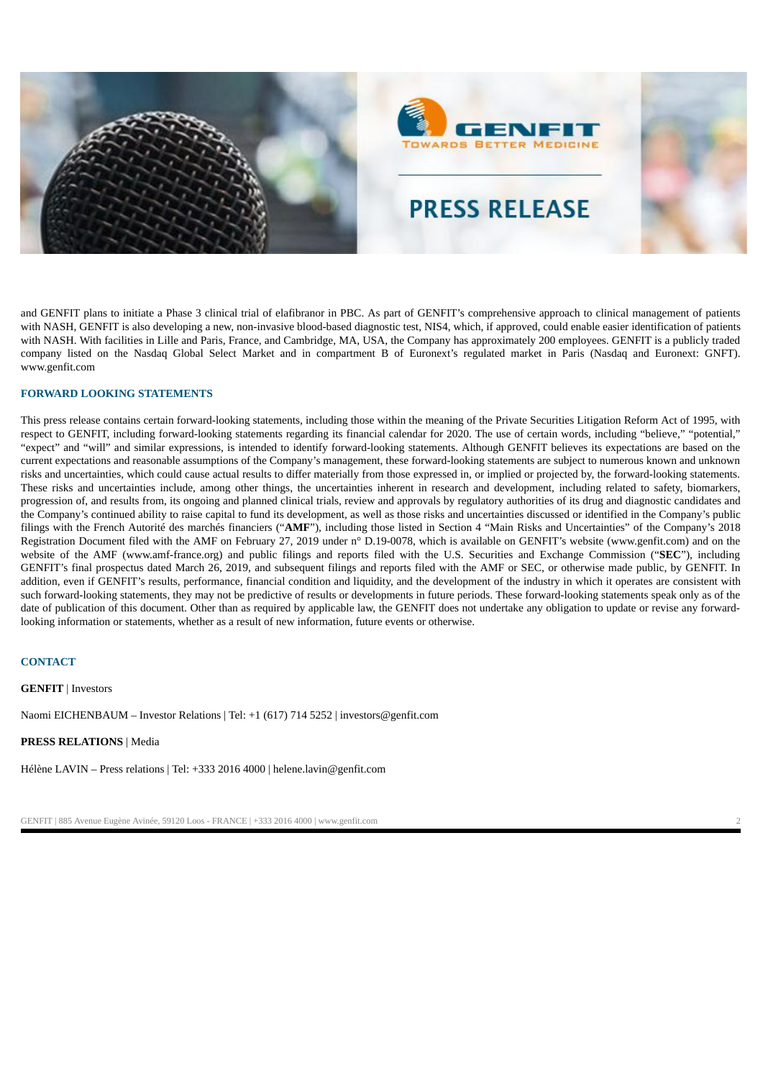



# **PRESS RELEASE**

and GENFIT plans to initiate a Phase 3 clinical trial of elafibranor in PBC. As part of GENFIT's comprehensive approach to clinical management of patients with NASH, GENFIT is also developing a new, non-invasive blood-based diagnostic test, NIS4, which, if approved, could enable easier identification of patients with NASH. With facilities in Lille and Paris, France, and Cambridge, MA, USA, the Company has approximately 200 employees. GENFIT is a publicly traded company listed on the Nasdaq Global Select Market and in compartment B of Euronext's regulated market in Paris (Nasdaq and Euronext: GNFT). www.genfit.com

#### **FORWARD LOOKING STATEMENTS**

This press release contains certain forward-looking statements, including those within the meaning of the Private Securities Litigation Reform Act of 1995, with respect to GENFIT, including forward-looking statements regarding its financial calendar for 2020. The use of certain words, including "believe," "potential," "expect" and "will" and similar expressions, is intended to identify forward-looking statements. Although GENFIT believes its expectations are based on the current expectations and reasonable assumptions of the Company's management, these forward-looking statements are subject to numerous known and unknown risks and uncertainties, which could cause actual results to differ materially from those expressed in, or implied or projected by, the forward-looking statements. These risks and uncertainties include, among other things, the uncertainties inherent in research and development, including related to safety, biomarkers, progression of, and results from, its ongoing and planned clinical trials, review and approvals by regulatory authorities of its drug and diagnostic candidates and the Company's continued ability to raise capital to fund its development, as well as those risks and uncertainties discussed or identified in the Company's public filings with the French Autorité des marchés financiers ("**AMF**"), including those listed in Section 4 "Main Risks and Uncertainties" of the Company's 2018 Registration Document filed with the AMF on February 27, 2019 under n° D.19-0078, which is available on GENFIT's website (www.genfit.com) and on the website of the AMF (www.amf-france.org) and public filings and reports filed with the U.S. Securities and Exchange Commission ("**SEC**"), including GENFIT's final prospectus dated March 26, 2019, and subsequent filings and reports filed with the AMF or SEC, or otherwise made public, by GENFIT. In addition, even if GENFIT's results, performance, financial condition and liquidity, and the development of the industry in which it operates are consistent with such forward-looking statements, they may not be predictive of results or developments in future periods. These forward-looking statements speak only as of the date of publication of this document. Other than as required by applicable law, the GENFIT does not undertake any obligation to update or revise any forwardlooking information or statements, whether as a result of new information, future events or otherwise.

#### **CONTACT**

**GENFIT** | Investors

Naomi EICHENBAUM – Investor Relations | Tel: +1 (617) 714 5252 | investors@genfit.com

**PRESS RELATIONS** | Media

Hélène LAVIN – Press relations | Tel: +333 2016 4000 | helene.lavin@genfit.com

GENFIT | 885 Avenue Eugène Avinée, 59120 Loos - FRANCE | +333 2016 4000 | www.genfit.com 2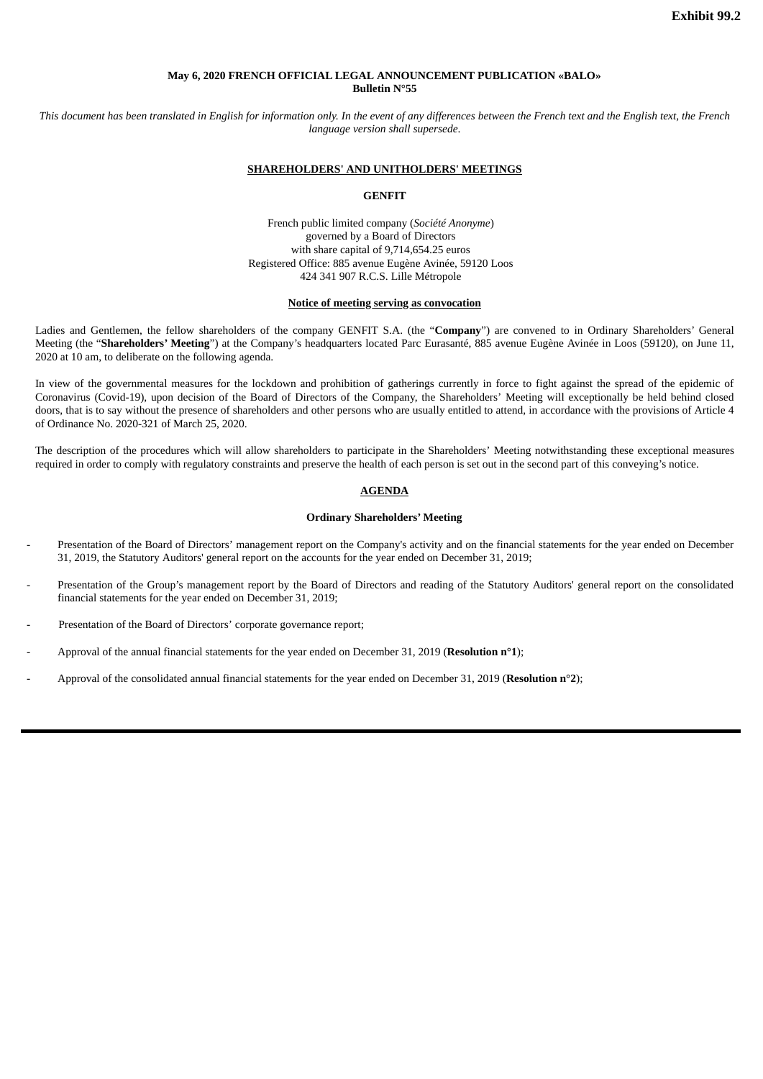#### **May 6, 2020 FRENCH OFFICIAL LEGAL ANNOUNCEMENT PUBLICATION «BALO» Bulletin N°55**

<span id="page-6-0"></span>This document has been translated in Enalish for information only. In the event of any differences between the French text and the Enalish text, the French *language version shall supersede*.

#### **SHAREHOLDERS' AND UNITHOLDERS' MEETINGS**

#### **GENFIT**

French public limited company (*Société Anonyme*) governed by a Board of Directors with share capital of 9,714,654.25 euros Registered Office: 885 avenue Eugène Avinée, 59120 Loos 424 341 907 R.C.S. Lille Métropole

#### **Notice of meeting serving as convocation**

Ladies and Gentlemen, the fellow shareholders of the company GENFIT S.A. (the "**Company**") are convened to in Ordinary Shareholders' General Meeting (the "**Shareholders' Meeting**") at the Company's headquarters located Parc Eurasanté, 885 avenue Eugène Avinée in Loos (59120), on June 11, 2020 at 10 am, to deliberate on the following agenda.

In view of the governmental measures for the lockdown and prohibition of gatherings currently in force to fight against the spread of the epidemic of Coronavirus (Covid-19), upon decision of the Board of Directors of the Company, the Shareholders' Meeting will exceptionally be held behind closed doors, that is to say without the presence of shareholders and other persons who are usually entitled to attend, in accordance with the provisions of Article 4 of Ordinance No. 2020-321 of March 25, 2020.

The description of the procedures which will allow shareholders to participate in the Shareholders' Meeting notwithstanding these exceptional measures required in order to comply with regulatory constraints and preserve the health of each person is set out in the second part of this conveying's notice.

#### **AGENDA**

#### **Ordinary Shareholders' Meeting**

- Presentation of the Board of Directors' management report on the Company's activity and on the financial statements for the year ended on December 31, 2019, the Statutory Auditors' general report on the accounts for the year ended on December 31, 2019;
- Presentation of the Group's management report by the Board of Directors and reading of the Statutory Auditors' general report on the consolidated financial statements for the year ended on December 31, 2019;
- Presentation of the Board of Directors' corporate governance report;
- Approval of the annual financial statements for the year ended on December 31, 2019 (**Resolution n°1**);
- Approval of the consolidated annual financial statements for the year ended on December 31, 2019 (**Resolution n°2**);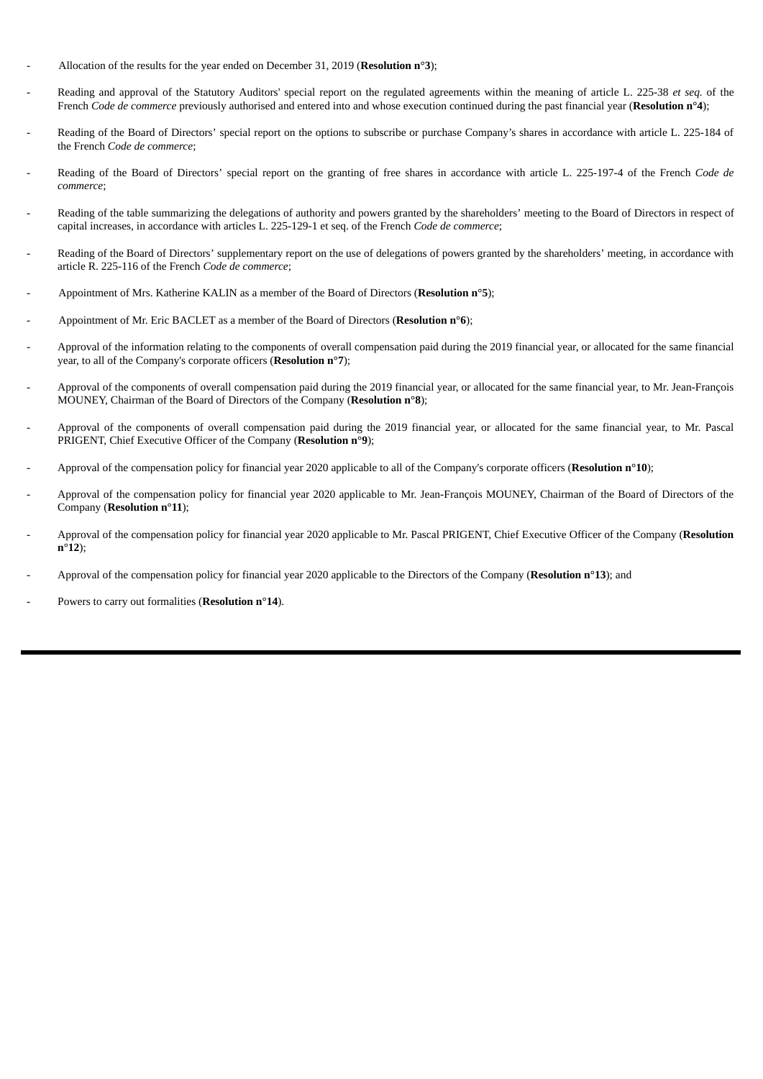- Allocation of the results for the year ended on December 31, 2019 (**Resolution n°3**);
- Reading and approval of the Statutory Auditors' special report on the regulated agreements within the meaning of article L. 225-38 *et seq.* of the French *Code de commerce* previously authorised and entered into and whose execution continued during the past financial year (**Resolution n°4**);
- Reading of the Board of Directors' special report on the options to subscribe or purchase Company's shares in accordance with article L. 225-184 of the French *Code de commerce*;
- Reading of the Board of Directors' special report on the granting of free shares in accordance with article L. 225-197-4 of the French *Code de commerce*;
- Reading of the table summarizing the delegations of authority and powers granted by the shareholders' meeting to the Board of Directors in respect of capital increases, in accordance with articles L. 225-129-1 et seq. of the French *Code de commerce*;
- Reading of the Board of Directors' supplementary report on the use of delegations of powers granted by the shareholders' meeting, in accordance with article R. 225-116 of the French *Code de commerce*;
- Appointment of Mrs. Katherine KALIN as a member of the Board of Directors (**Resolution n°5**);
- Appointment of Mr. Eric BACLET as a member of the Board of Directors (**Resolution n°6**);
- Approval of the information relating to the components of overall compensation paid during the 2019 financial year, or allocated for the same financial year, to all of the Company's corporate officers (**Resolution n°7**);
- Approval of the components of overall compensation paid during the 2019 financial year, or allocated for the same financial year, to Mr. Jean-François MOUNEY, Chairman of the Board of Directors of the Company (**Resolution n°8**);
- Approval of the components of overall compensation paid during the 2019 financial year, or allocated for the same financial year, to Mr. Pascal PRIGENT, Chief Executive Officer of the Company (**Resolution n°9**);
- Approval of the compensation policy for financial year 2020 applicable to all of the Company's corporate officers (**Resolution n°10**);
- Approval of the compensation policy for financial year 2020 applicable to Mr. Jean-François MOUNEY, Chairman of the Board of Directors of the Company (**Resolution n°11**);
- Approval of the compensation policy for financial year 2020 applicable to Mr. Pascal PRIGENT, Chief Executive Officer of the Company (**Resolution n°12**);
- Approval of the compensation policy for financial year 2020 applicable to the Directors of the Company (**Resolution n°13**); and
- Powers to carry out formalities (**Resolution n°14**).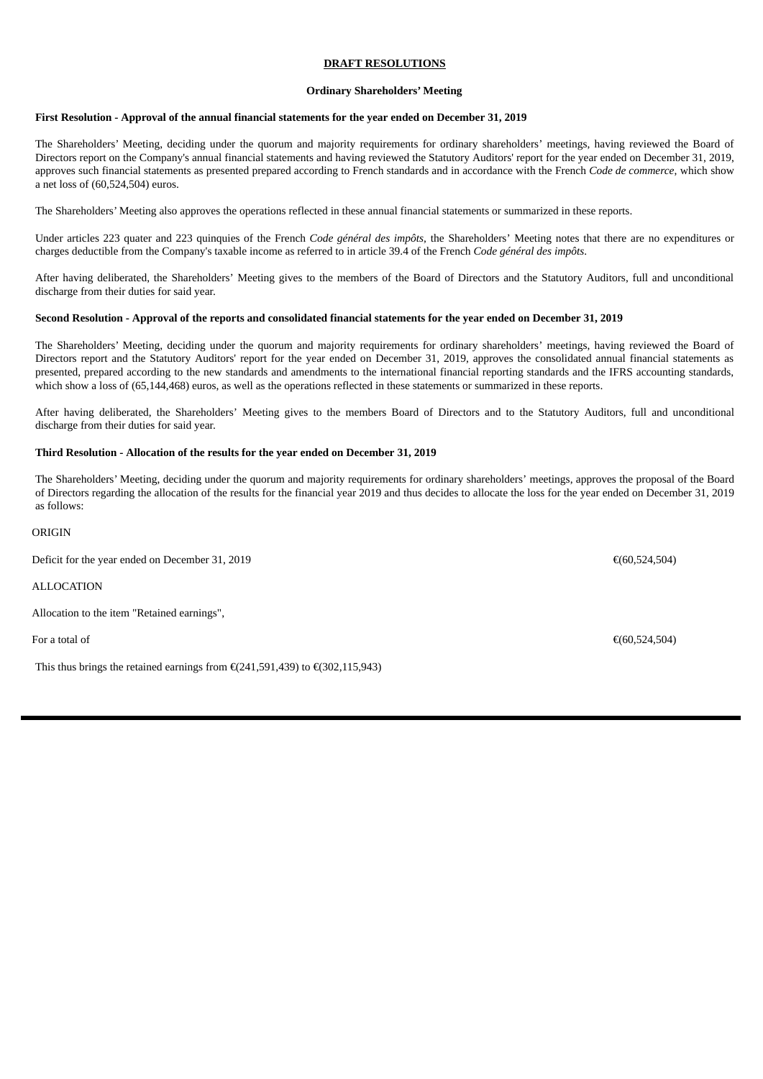#### **DRAFT RESOLUTIONS**

#### **Ordinary Shareholders' Meeting**

#### **First Resolution - Approval of the annual financial statements for the year ended on December 31, 2019**

The Shareholders' Meeting, deciding under the quorum and majority requirements for ordinary shareholders' meetings, having reviewed the Board of Directors report on the Company's annual financial statements and having reviewed the Statutory Auditors' report for the year ended on December 31, 2019, approves such financial statements as presented prepared according to French standards and in accordance with the French *Code de commerce*, which show a net loss of (60,524,504) euros.

The Shareholders' Meeting also approves the operations reflected in these annual financial statements or summarized in these reports.

Under articles 223 quater and 223 quinquies of the French *Code général des impôts*, the Shareholders' Meeting notes that there are no expenditures or charges deductible from the Company's taxable income as referred to in article 39.4 of the French *Code général des impôts*.

After having deliberated, the Shareholders' Meeting gives to the members of the Board of Directors and the Statutory Auditors, full and unconditional discharge from their duties for said year.

#### Second Resolution - Approval of the reports and consolidated financial statements for the year ended on December 31, 2019

The Shareholders' Meeting, deciding under the quorum and majority requirements for ordinary shareholders' meetings, having reviewed the Board of Directors report and the Statutory Auditors' report for the year ended on December 31, 2019, approves the consolidated annual financial statements as presented, prepared according to the new standards and amendments to the international financial reporting standards and the IFRS accounting standards, which show a loss of (65,144,468) euros, as well as the operations reflected in these statements or summarized in these reports.

After having deliberated, the Shareholders' Meeting gives to the members Board of Directors and to the Statutory Auditors, full and unconditional discharge from their duties for said year.

#### **Third Resolution - Allocation of the results for the year ended on December 31, 2019**

The Shareholders' Meeting, deciding under the quorum and majority requirements for ordinary shareholders' meetings, approves the proposal of the Board of Directors regarding the allocation of the results for the financial year 2019 and thus decides to allocate the loss for the year ended on December 31, 2019 as follows:

#### ORIGIN

Deficit for the year ended on December 31, 2019 **€**(60,524,504) € **60,524,504** 

ALLOCATION

Allocation to the item "Retained earnings",

This thus brings the retained earnings from  $E(241,591,439)$  to  $E(302,115,943)$ 

For a total of  $\epsilon$ (60,524,504)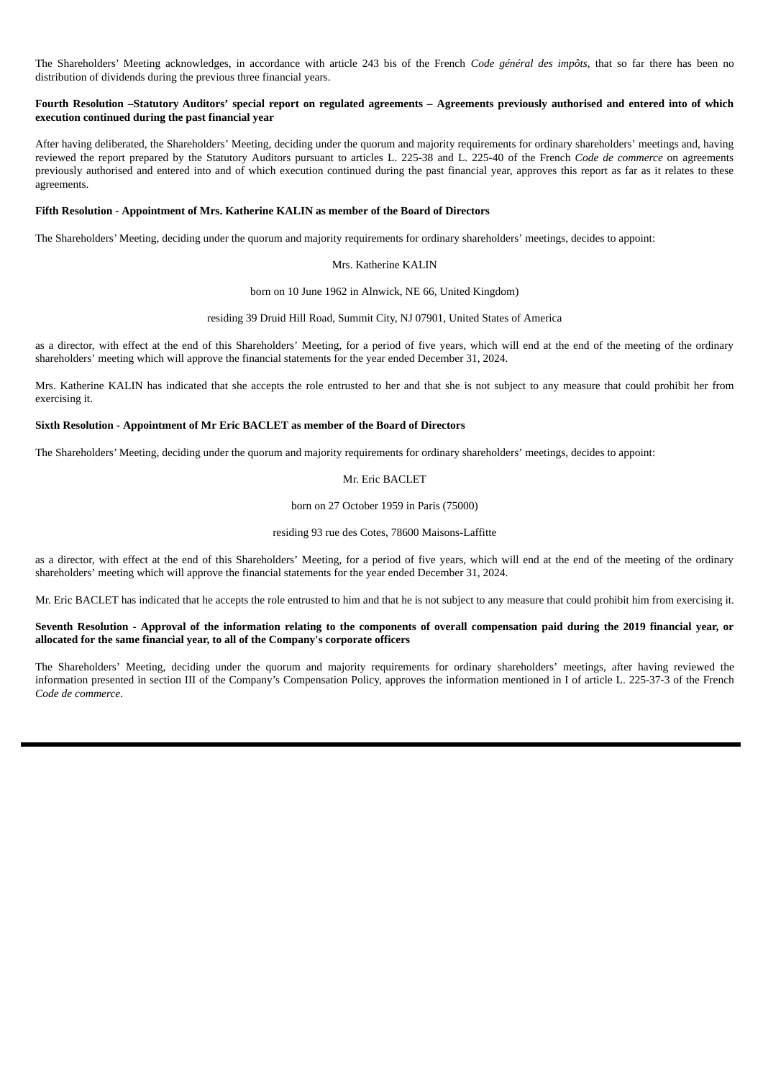The Shareholders' Meeting acknowledges, in accordance with article 243 bis of the French *Code général des impôts*, that so far there has been no distribution of dividends during the previous three financial years.

#### Fourth Resolution -Statutory Auditors' special report on regulated agreements - Agreements previously authorised and entered into of which **execution continued during the past financial year**

After having deliberated, the Shareholders' Meeting, deciding under the quorum and majority requirements for ordinary shareholders' meetings and, having reviewed the report prepared by the Statutory Auditors pursuant to articles L. 225-38 and L. 225-40 of the French *Code de commerce* on agreements previously authorised and entered into and of which execution continued during the past financial year, approves this report as far as it relates to these agreements.

#### **Fifth Resolution - Appointment of Mrs. Katherine KALIN as member of the Board of Directors**

The Shareholders' Meeting, deciding under the quorum and majority requirements for ordinary shareholders' meetings, decides to appoint:

#### Mrs. Katherine KALIN

born on 10 June 1962 in Alnwick, NE 66, United Kingdom)

residing 39 Druid Hill Road, Summit City, NJ 07901, United States of America

as a director, with effect at the end of this Shareholders' Meeting, for a period of five years, which will end at the end of the meeting of the ordinary shareholders' meeting which will approve the financial statements for the year ended December 31, 2024.

Mrs. Katherine KALIN has indicated that she accepts the role entrusted to her and that she is not subject to any measure that could prohibit her from exercising it.

#### **Sixth Resolution - Appointment of Mr Eric BACLET as member of the Board of Directors**

The Shareholders' Meeting, deciding under the quorum and majority requirements for ordinary shareholders' meetings, decides to appoint:

#### Mr. Eric BACLET

born on 27 October 1959 in Paris (75000)

#### residing 93 rue des Cotes, 78600 Maisons-Laffitte

as a director, with effect at the end of this Shareholders' Meeting, for a period of five years, which will end at the end of the meeting of the ordinary shareholders' meeting which will approve the financial statements for the year ended December 31, 2024.

Mr. Eric BACLET has indicated that he accepts the role entrusted to him and that he is not subject to any measure that could prohibit him from exercising it.

#### Seventh Resolution - Approval of the information relating to the components of overall compensation paid during the 2019 financial year, or **allocated for the same financial year, to all of the Company's corporate officers**

The Shareholders' Meeting, deciding under the quorum and majority requirements for ordinary shareholders' meetings, after having reviewed the information presented in section III of the Company's Compensation Policy, approves the information mentioned in I of article L. 225-37-3 of the French *Code de commerce*.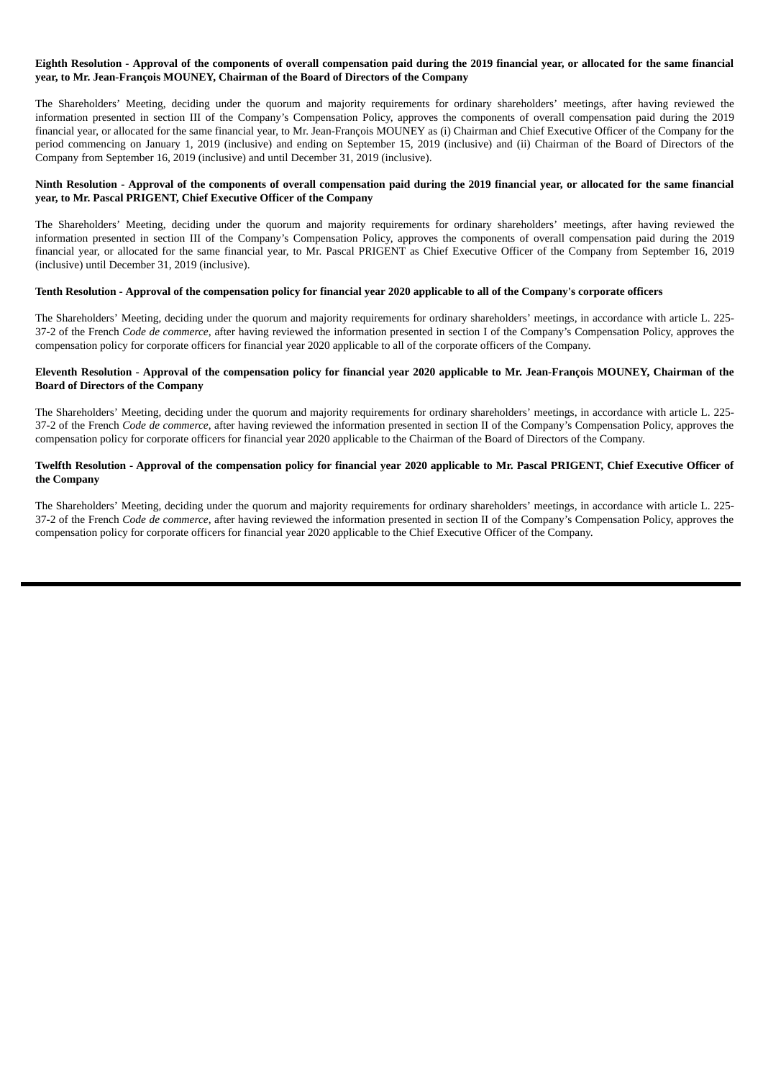#### Eighth Resolution - Approval of the components of overall compensation paid during the 2019 financial year, or allocated for the same financial **year, to Mr. Jean-François MOUNEY, Chairman of the Board of Directors of the Company**

The Shareholders' Meeting, deciding under the quorum and majority requirements for ordinary shareholders' meetings, after having reviewed the information presented in section III of the Company's Compensation Policy, approves the components of overall compensation paid during the 2019 financial year, or allocated for the same financial year, to Mr. Jean-François MOUNEY as (i) Chairman and Chief Executive Officer of the Company for the period commencing on January 1, 2019 (inclusive) and ending on September 15, 2019 (inclusive) and (ii) Chairman of the Board of Directors of the Company from September 16, 2019 (inclusive) and until December 31, 2019 (inclusive).

#### Ninth Resolution - Approval of the components of overall compensation paid during the 2019 financial year, or allocated for the same financial **year, to Mr. Pascal PRIGENT, Chief Executive Officer of the Company**

The Shareholders' Meeting, deciding under the quorum and majority requirements for ordinary shareholders' meetings, after having reviewed the information presented in section III of the Company's Compensation Policy, approves the components of overall compensation paid during the 2019 financial year, or allocated for the same financial year, to Mr. Pascal PRIGENT as Chief Executive Officer of the Company from September 16, 2019 (inclusive) until December 31, 2019 (inclusive).

#### Tenth Resolution - Approval of the compensation policy for financial year 2020 applicable to all of the Company's corporate officers

The Shareholders' Meeting, deciding under the quorum and majority requirements for ordinary shareholders' meetings, in accordance with article L. 225- 37-2 of the French *Code de commerce*, after having reviewed the information presented in section I of the Company's Compensation Policy, approves the compensation policy for corporate officers for financial year 2020 applicable to all of the corporate officers of the Company.

#### Eleventh Resolution - Approval of the compensation policy for financial year 2020 applicable to Mr. Jean-François MOUNEY, Chairman of the **Board of Directors of the Company**

The Shareholders' Meeting, deciding under the quorum and majority requirements for ordinary shareholders' meetings, in accordance with article L. 225- 37-2 of the French *Code de commerce*, after having reviewed the information presented in section II of the Company's Compensation Policy, approves the compensation policy for corporate officers for financial year 2020 applicable to the Chairman of the Board of Directors of the Company.

#### Twelfth Resolution - Approval of the compensation policy for financial year 2020 applicable to Mr. Pascal PRIGENT, Chief Executive Officer of **the Company**

The Shareholders' Meeting, deciding under the quorum and majority requirements for ordinary shareholders' meetings, in accordance with article L. 225- 37-2 of the French *Code de commerce*, after having reviewed the information presented in section II of the Company's Compensation Policy, approves the compensation policy for corporate officers for financial year 2020 applicable to the Chief Executive Officer of the Company.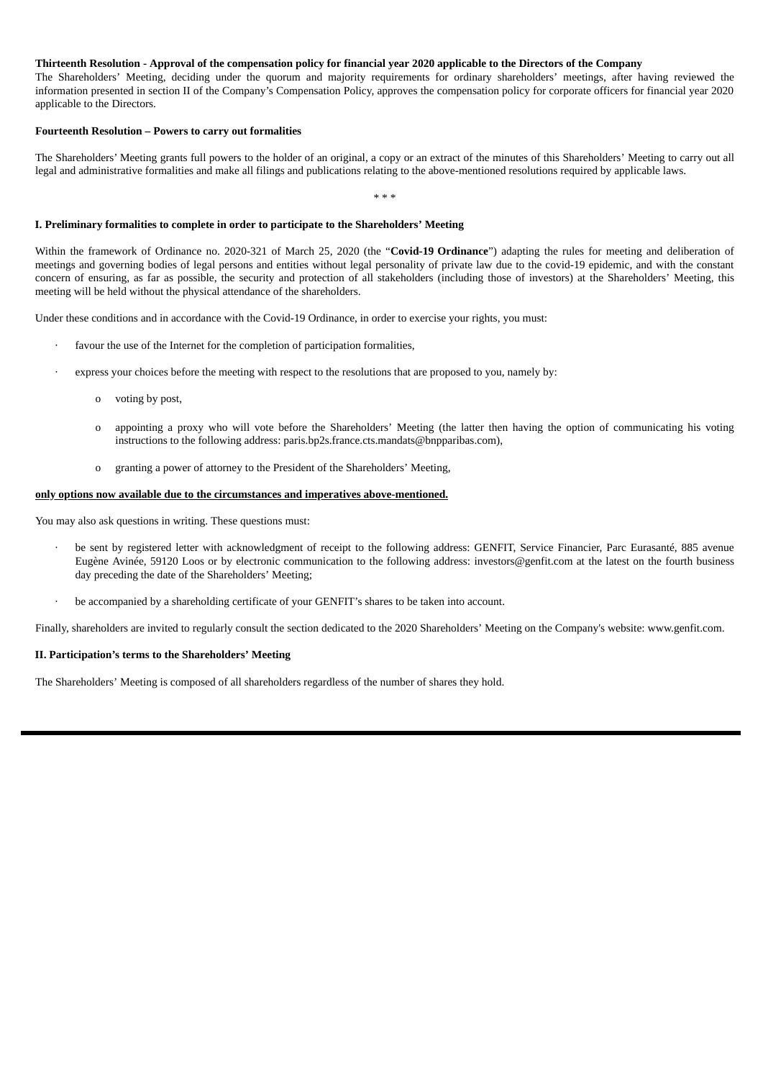#### Thirteenth Resolution - Approval of the compensation policy for financial year 2020 applicable to the Directors of the Company

The Shareholders' Meeting, deciding under the quorum and majority requirements for ordinary shareholders' meetings, after having reviewed the information presented in section II of the Company's Compensation Policy, approves the compensation policy for corporate officers for financial year 2020 applicable to the Directors.

#### **Fourteenth Resolution – Powers to carry out formalities**

The Shareholders' Meeting grants full powers to the holder of an original, a copy or an extract of the minutes of this Shareholders' Meeting to carry out all legal and administrative formalities and make all filings and publications relating to the above-mentioned resolutions required by applicable laws.

\* \* \*

#### **I. Preliminary formalities to complete in order to participate to the Shareholders' Meeting**

Within the framework of Ordinance no. 2020-321 of March 25, 2020 (the "**Covid-19 Ordinance**") adapting the rules for meeting and deliberation of meetings and governing bodies of legal persons and entities without legal personality of private law due to the covid-19 epidemic, and with the constant concern of ensuring, as far as possible, the security and protection of all stakeholders (including those of investors) at the Shareholders' Meeting, this meeting will be held without the physical attendance of the shareholders.

Under these conditions and in accordance with the Covid-19 Ordinance, in order to exercise your rights, you must:

- favour the use of the Internet for the completion of participation formalities,
- express your choices before the meeting with respect to the resolutions that are proposed to you, namely by:
	- o voting by post,
	- o appointing a proxy who will vote before the Shareholders' Meeting (the latter then having the option of communicating his voting instructions to the following address: paris.bp2s.france.cts.mandats@bnpparibas.com),
	- o granting a power of attorney to the President of the Shareholders' Meeting,

#### **only options now available due to the circumstances and imperatives above-mentioned.**

You may also ask questions in writing. These questions must:

- be sent by registered letter with acknowledgment of receipt to the following address: GENFIT, Service Financier, Parc Eurasanté, 885 avenue Eugène Avinée, 59120 Loos or by electronic communication to the following address: investors@genfit.com at the latest on the fourth business day preceding the date of the Shareholders' Meeting;
- be accompanied by a shareholding certificate of your GENFIT's shares to be taken into account.

Finally, shareholders are invited to regularly consult the section dedicated to the 2020 Shareholders' Meeting on the Company's website: www.genfit.com.

#### **II. Participation's terms to the Shareholders' Meeting**

The Shareholders' Meeting is composed of all shareholders regardless of the number of shares they hold.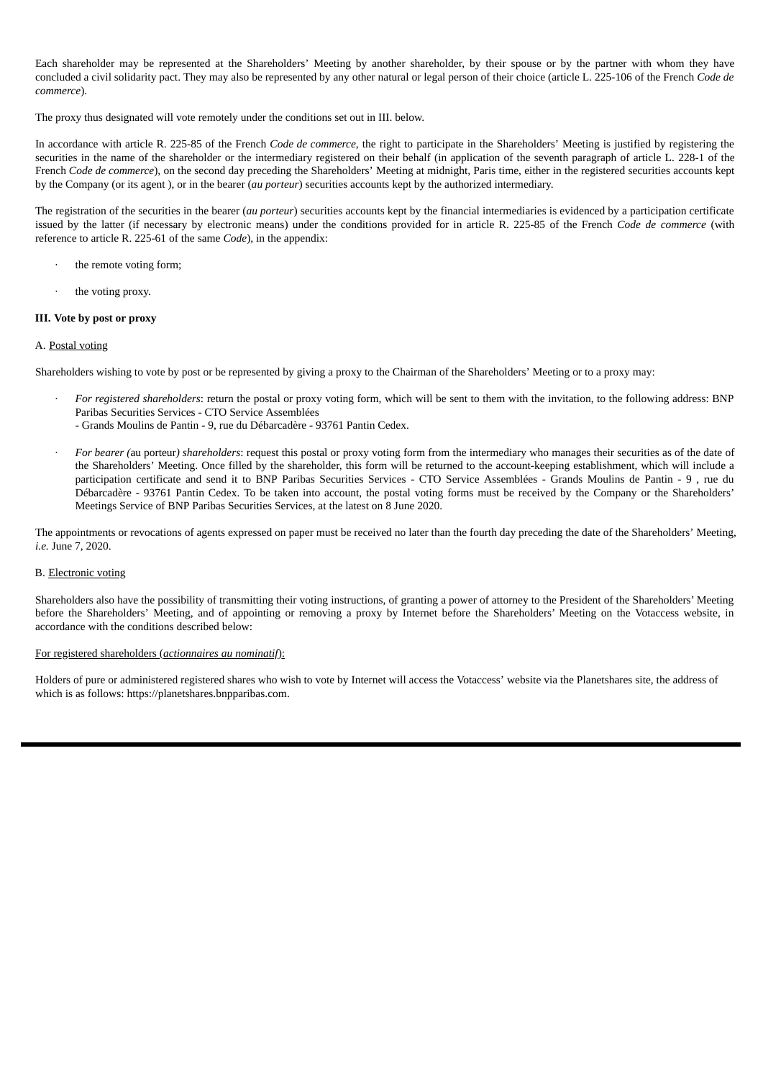Each shareholder may be represented at the Shareholders' Meeting by another shareholder, by their spouse or by the partner with whom they have concluded a civil solidarity pact. They may also be represented by any other natural or legal person of their choice (article L. 225-106 of the French *Code de commerce*).

The proxy thus designated will vote remotely under the conditions set out in III. below.

In accordance with article R. 225-85 of the French *Code de commerce*, the right to participate in the Shareholders' Meeting is justified by registering the securities in the name of the shareholder or the intermediary registered on their behalf (in application of the seventh paragraph of article L. 228-1 of the French *Code de commerce*), on the second day preceding the Shareholders' Meeting at midnight, Paris time, either in the registered securities accounts kept by the Company (or its agent ), or in the bearer (*au porteur*) securities accounts kept by the authorized intermediary.

The registration of the securities in the bearer (*au porteur*) securities accounts kept by the financial intermediaries is evidenced by a participation certificate issued by the latter (if necessary by electronic means) under the conditions provided for in article R. 225-85 of the French *Code de commerce* (with reference to article R. 225-61 of the same *Code*), in the appendix:

- the remote voting form;
- the voting proxy.

#### **III. Vote by post or proxy**

#### A. Postal voting

Shareholders wishing to vote by post or be represented by giving a proxy to the Chairman of the Shareholders' Meeting or to a proxy may:

- · *For registered shareholders*: return the postal or proxy voting form, which will be sent to them with the invitation, to the following address: BNP Paribas Securities Services - CTO Service Assemblées
	- Grands Moulins de Pantin 9, rue du Débarcadère 93761 Pantin Cedex.
- · *For bearer (*au porteur*) shareholders*: request this postal or proxy voting form from the intermediary who manages their securities as of the date of the Shareholders' Meeting. Once filled by the shareholder, this form will be returned to the account-keeping establishment, which will include a participation certificate and send it to BNP Paribas Securities Services - CTO Service Assemblées - Grands Moulins de Pantin - 9 , rue du Débarcadère - 93761 Pantin Cedex. To be taken into account, the postal voting forms must be received by the Company or the Shareholders' Meetings Service of BNP Paribas Securities Services, at the latest on 8 June 2020.

The appointments or revocations of agents expressed on paper must be received no later than the fourth day preceding the date of the Shareholders' Meeting, *i.e.* June 7, 2020.

#### B. Electronic voting

Shareholders also have the possibility of transmitting their voting instructions, of granting a power of attorney to the President of the Shareholders' Meeting before the Shareholders' Meeting, and of appointing or removing a proxy by Internet before the Shareholders' Meeting on the Votaccess website, in accordance with the conditions described below:

#### For registered shareholders (*actionnaires au nominatif*):

Holders of pure or administered registered shares who wish to vote by Internet will access the Votaccess' website via the Planetshares site, the address of which is as follows: https://planetshares.bnpparibas.com.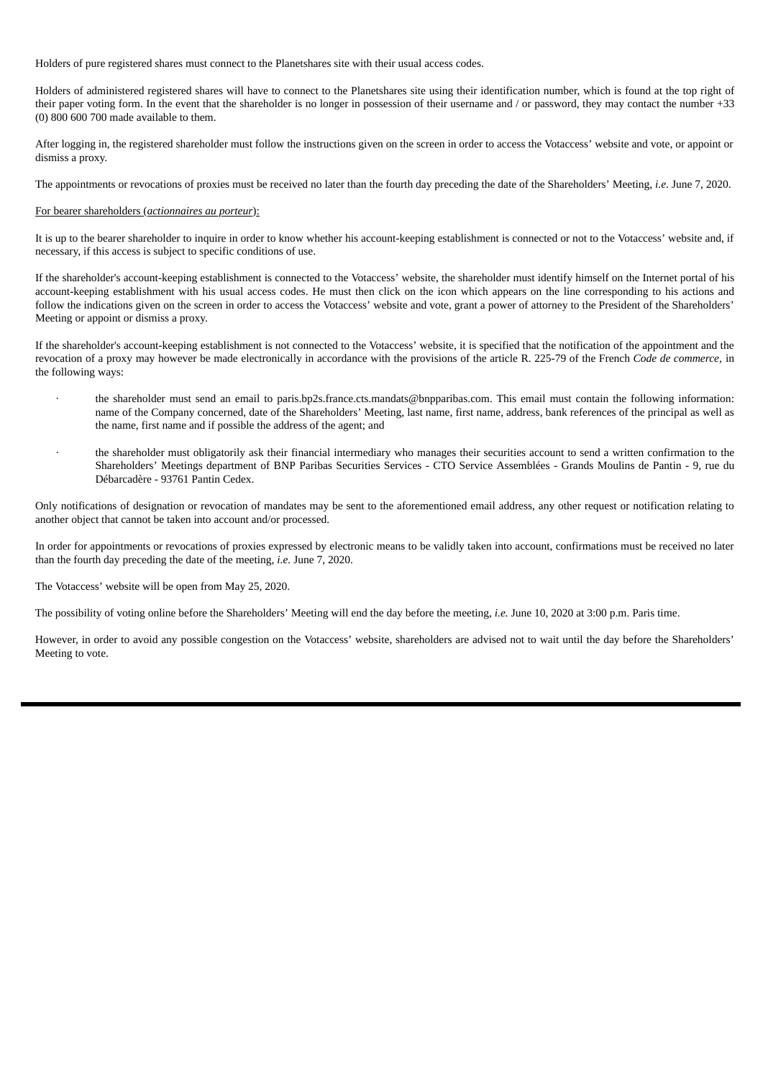Holders of pure registered shares must connect to the Planetshares site with their usual access codes.

Holders of administered registered shares will have to connect to the Planetshares site using their identification number, which is found at the top right of their paper voting form. In the event that the shareholder is no longer in possession of their username and / or password, they may contact the number +33 (0) 800 600 700 made available to them.

After logging in, the registered shareholder must follow the instructions given on the screen in order to access the Votaccess' website and vote, or appoint or dismiss a proxy.

The appointments or revocations of proxies must be received no later than the fourth day preceding the date of the Shareholders' Meeting, *i.e.* June 7, 2020.

#### For bearer shareholders (*actionnaires au porteur*):

It is up to the bearer shareholder to inquire in order to know whether his account-keeping establishment is connected or not to the Votaccess' website and, if necessary, if this access is subject to specific conditions of use.

If the shareholder's account-keeping establishment is connected to the Votaccess' website, the shareholder must identify himself on the Internet portal of his account-keeping establishment with his usual access codes. He must then click on the icon which appears on the line corresponding to his actions and follow the indications given on the screen in order to access the Votaccess' website and vote, grant a power of attorney to the President of the Shareholders' Meeting or appoint or dismiss a proxy.

If the shareholder's account-keeping establishment is not connected to the Votaccess' website, it is specified that the notification of the appointment and the revocation of a proxy may however be made electronically in accordance with the provisions of the article R. 225-79 of the French *Code de commerce*, in the following ways:

- the shareholder must send an email to paris.bp2s.france.cts.mandats@bnpparibas.com. This email must contain the following information: name of the Company concerned, date of the Shareholders' Meeting, last name, first name, address, bank references of the principal as well as the name, first name and if possible the address of the agent; and
- · the shareholder must obligatorily ask their financial intermediary who manages their securities account to send a written confirmation to the Shareholders' Meetings department of BNP Paribas Securities Services - CTO Service Assemblées - Grands Moulins de Pantin - 9, rue du Débarcadère - 93761 Pantin Cedex.

Only notifications of designation or revocation of mandates may be sent to the aforementioned email address, any other request or notification relating to another object that cannot be taken into account and/or processed.

In order for appointments or revocations of proxies expressed by electronic means to be validly taken into account, confirmations must be received no later than the fourth day preceding the date of the meeting, *i.e.* June 7, 2020.

The Votaccess' website will be open from May 25, 2020.

The possibility of voting online before the Shareholders' Meeting will end the day before the meeting, *i.e.* June 10, 2020 at 3:00 p.m. Paris time.

However, in order to avoid any possible congestion on the Votaccess' website, shareholders are advised not to wait until the day before the Shareholders' Meeting to vote.